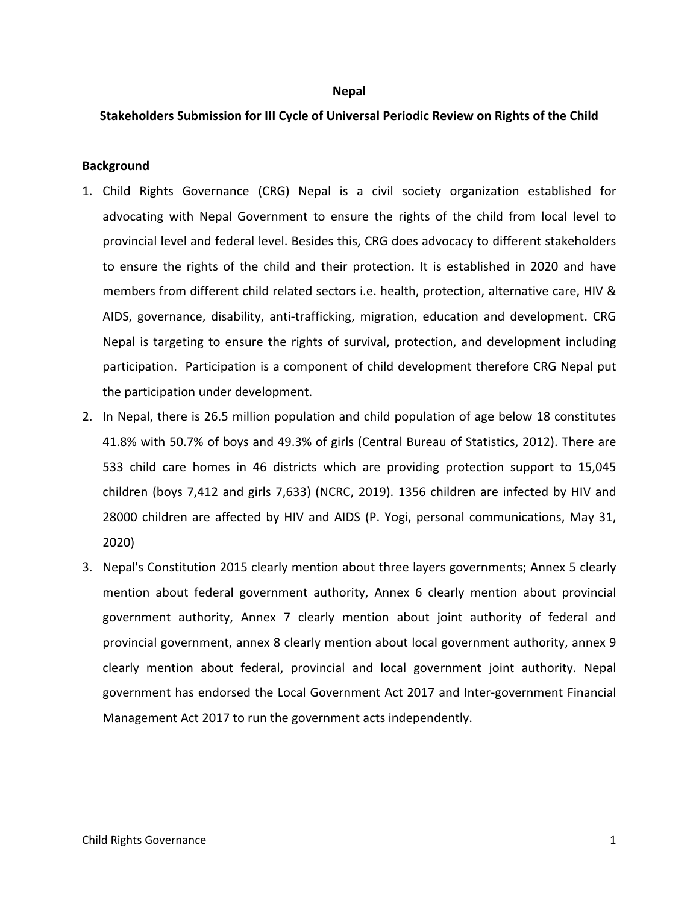#### **Nepal**

### **Stakeholders Submission for III Cycle of Universal Periodic Review on Rights of the Child**

#### **Background**

- 1. Child Rights Governance (CRG) Nepal is <sup>a</sup> civil society organization established for advocating with Nepal Government to ensure the rights of the child from local level to provincial level and federal level. Besides this, CRG does advocacy to different stakeholders to ensure the rights of the child and their protection. It is established in 2020 and have members from different child related sectors i.e. health, protection, alternative care, HIV & AIDS, governance, disability, anti-trafficking, migration, education and development. CRG Nepal is targeting to ensure the rights of survival, protection, and development including participation. Participation is <sup>a</sup> component of child development therefore CRG Nepal put the participation under development.
- 2. In Nepal, there is 26.5 million population and child population of age below 18 constitutes 41.8% with 50.7% of boys and 49.3% of girls (Central Bureau of Statistics, 2012). There are 533 child care homes in 46 districts which are providing protection support to 15,045 children (boys 7,412 and girls 7,633) (NCRC, 2019). 1356 children are infected by HIV and 28000 children are affected by HIV and AIDS (P. Yogi, personal communications, May 31, 2020)
- 3. Nepal's Constitution 2015 clearly mention about three layers governments; Annex 5 clearly mention about federal government authority, Annex 6 clearly mention about provincial government authority, Annex 7 clearly mention about joint authority of federal and provincial government, annex 8 clearly mention about local government authority, annex 9 clearly mention about federal, provincial and local government joint authority. Nepal government has endorsed the Local Government Act 2017 and Inter-government Financial Management Act 2017 to run the government acts independently.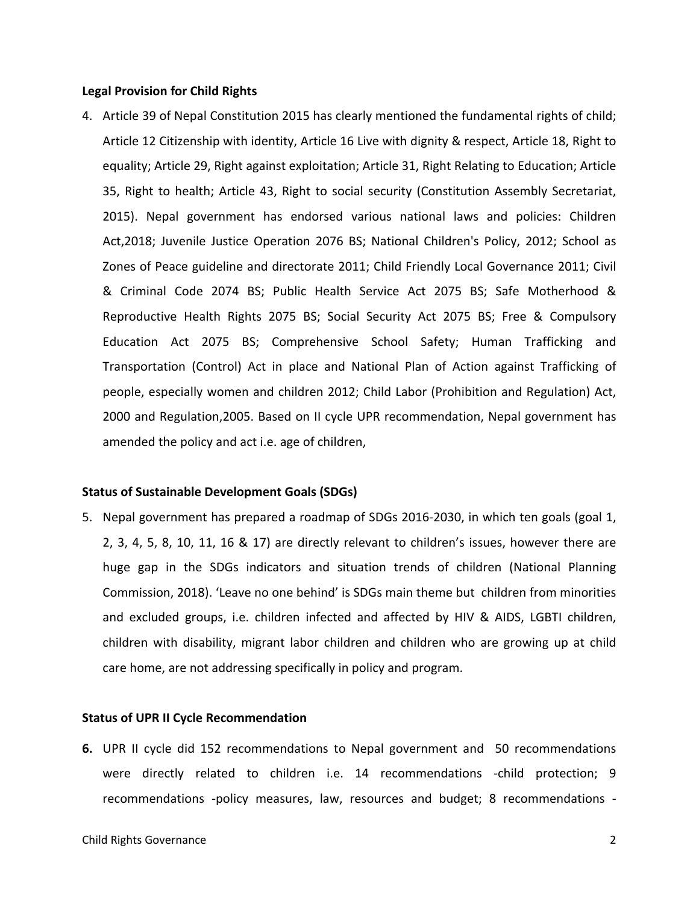### **Legal Provision for Child Rights**

4. Article 39 of Nepal Constitution 2015 has clearly mentioned the fundamental rights of child; Article 12 Citizenship with identity, Article 16 Live with dignity & respect, Article 18, Right to equality; Article 29, Right against exploitation; Article 31, Right Relating to Education; Article 35, Right to health; Article 43, Right to social security (Constitution Assembly Secretariat, 2015). Nepal government has endorsed various national laws and policies: Children Act,2018; Juvenile Justice Operation 2076 BS; National Children's Policy, 2012; School as Zones of Peace guideline and directorate 2011; Child Friendly Local Governance 2011; Civil & Criminal Code 2074 BS; Public Health Service Act 2075 BS; Safe Motherhood & Reproductive Health Rights 2075 BS; Social Security Act 2075 BS; Free & Compulsory Education Act 2075 BS; Comprehensive School Safety; Human Trafficking and Transportation (Control) Act in place and National Plan of Action against Trafficking of people, especially women and children 2012; Child Labor (Prohibition and Regulation) Act, 2000 and Regulation,2005. Based on II cycle UPR recommendation, Nepal government has amended the policy and act i.e. age of children,

## **Status of Sustainable Development Goals (SDGs)**

5. Nepal government has prepared <sup>a</sup> roadmap of SDGs 2016-2030, in which ten goals (goal 1, 2, 3, 4, 5, 8, 10, 11, 16 & 17) are directly relevant to children'<sup>s</sup> issues, however there are huge gap in the SDGs indicators and situation trends of children (National Planning Commission, 2018). 'Leave no one behind' is SDGs main theme but children from minorities and excluded groups, i.e. children infected and affected by HIV & AIDS, LGBTI children, children with disability, migrant labor children and children who are growing up at child care home, are not addressing specifically in policy and program.

## **Status of UPR II Cycle Recommendation**

**6.** UPR II cycle did 152 recommendations to Nepal government and 50 recommendations were directly related to children i.e. 14 recommendations -child protection; 9 recommendations -policy measures, law, resources and budget; 8 recommendations -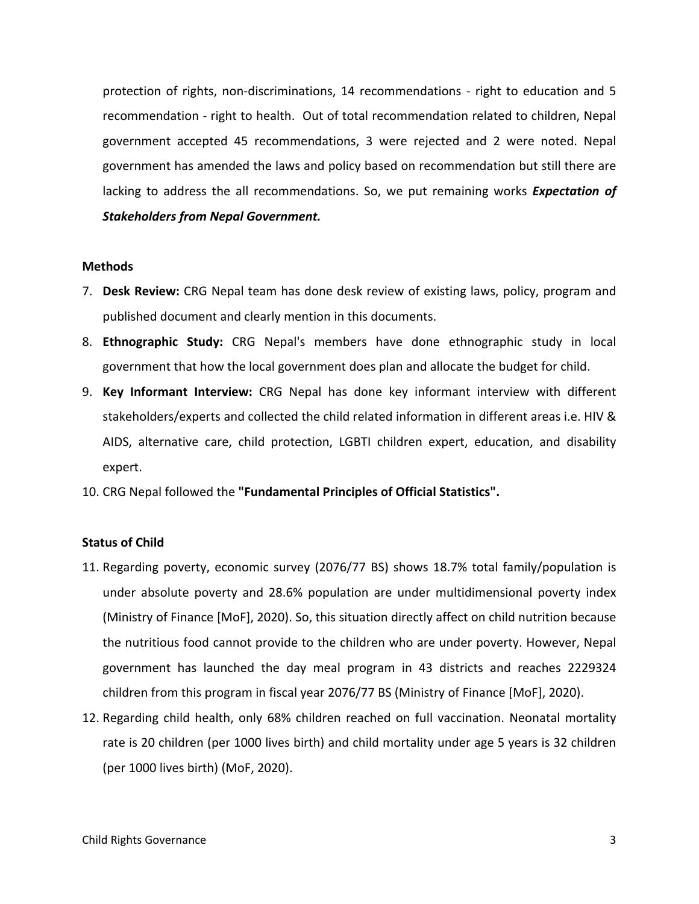protection of rights, non-discriminations, 14 recommendations - right to education and 5 recommendation - right to health. Out of total recommendation related to children, Nepal government accepted 45 recommendations, 3 were rejected and 2 were noted. Nepal government has amended the laws and policy based on recommendation but still there are lacking to address the all recommendations. So, we put remaining works *Expectation of Stakeholders from Nepal Government.*

# **Methods**

- 7. **Desk Review:** CRG Nepal team has done desk review of existing laws, policy, program and published document and clearly mention in this documents.
- 8. **Ethnographic Study:** CRG Nepal's members have done ethnographic study in local government that how the local government does plan and allocate the budget for child.
- 9. **Key Informant Interview:** CRG Nepal has done key informant interview with different stakeholders/experts and collected the child related information in different areas i.e. HIV & AIDS, alternative care, child protection, LGBTI children expert, education, and disability expert.
- 10. CRG Nepal followed the **"Fundamental Principles of Official Statistics".**

# **Status of Child**

- 11. Regarding poverty, economic survey (2076/77 BS) shows 18.7% total family/population is under absolute poverty and 28.6% population are under multidimensional poverty index (Ministry of Finance [MoF], 2020). So, this situation directly affect on child nutrition because the nutritious food cannot provide to the children who are under poverty. However, Nepal government has launched the day meal program in 43 districts and reaches 2229324 children from this program in fiscal year 2076/77 BS (Ministry of Finance [MoF], 2020).
- 12. Regarding child health, only 68% children reached on full vaccination. Neonatal mortality rate is 20 children (per 1000 lives birth) and child mortality under age 5 years is 32 children (per 1000 lives birth) (MoF, 2020).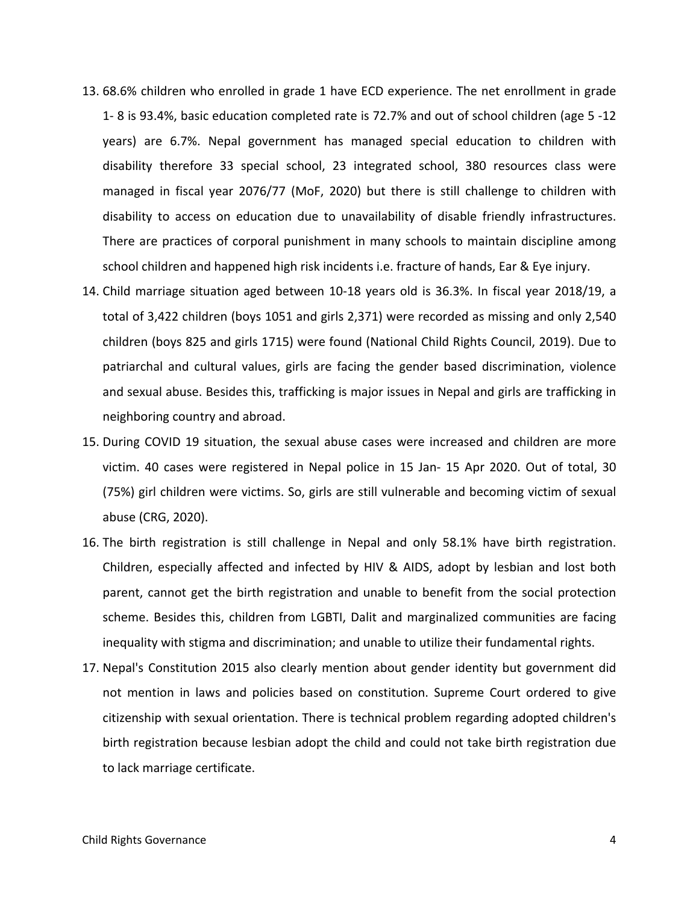- 13. 68.6% children who enrolled in grade 1 have ECD experience. The net enrollment in grade 1- 8 is 93.4%, basic education completed rate is 72.7% and out of school children (age 5 -12 years) are 6.7%. Nepal government has managed special education to children with disability therefore 33 special school, 23 integrated school, 380 resources class were managed in fiscal year 2076/77 (MoF, 2020) but there is still challenge to children with disability to access on education due to unavailability of disable friendly infrastructures. There are practices of corporal punishment in many schools to maintain discipline among school children and happened high risk incidents i.e. fracture of hands, Ear & Eye injury.
- 14. Child marriage situation aged between 10-18 years old is 36.3%. In fiscal year 2018/19, <sup>a</sup> total of 3,422 children (boys 1051 and girls 2,371) were recorded as missing and only 2,540 children (boys 825 and girls 1715) were found (National Child Rights Council, 2019). Due to patriarchal and cultural values, girls are facing the gender based discrimination, violence and sexual abuse. Besides this, trafficking is major issues in Nepal and girls are trafficking in neighboring country and abroad.
- 15. During COVID 19 situation, the sexual abuse cases were increased and children are more victim. 40 cases were registered in Nepal police in 15 Jan- 15 Apr 2020. Out of total, 30 (75%) girl children were victims. So, girls are still vulnerable and becoming victim of sexual abuse (CRG, 2020).
- 16. The birth registration is still challenge in Nepal and only 58.1% have birth registration. Children, especially affected and infected by HIV & AIDS, adopt by lesbian and lost both parent, cannot get the birth registration and unable to benefit from the social protection scheme. Besides this, children from LGBTI, Dalit and marginalized communities are facing inequality with stigma and discrimination; and unable to utilize their fundamental rights.
- 17. Nepal's Constitution 2015 also clearly mention about gender identity but government did not mention in laws and policies based on constitution. Supreme Court ordered to give citizenship with sexual orientation. There is technical problem regarding adopted children's birth registration because lesbian adopt the child and could not take birth registration due to lack marriage certificate.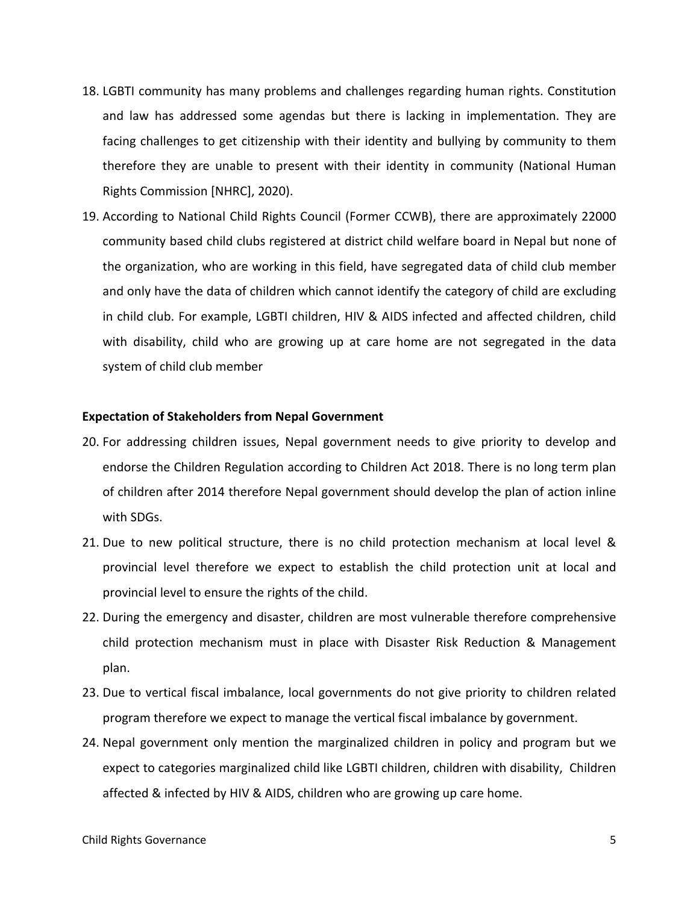- 18. LGBTI community has many problems and challenges regarding human rights. Constitution and law has addressed some agendas but there is lacking in implementation. They are facing challenges to get citizenship with their identity and bullying by community to them therefore they are unable to present with their identity in community (National Human Rights Commission [NHRC], 2020).
- 19. According to National Child Rights Council (Former CCWB), there are approximately 22000 community based child clubs registered at district child welfare board in Nepal but none of the organization, who are working in this field, have segregated data of child club member and only have the data of children which cannot identify the category of child are excluding in child club. For example, LGBTI children, HIV & AIDS infected and affected children, child with disability, child who are growing up at care home are not segregated in the data system of child club member

# **Expectation of Stakeholders from Nepal Government**

- 20. For addressing children issues, Nepal government needs to give priority to develop and endorse the Children Regulation according to Children Act 2018. There is no long term plan of children after 2014 therefore Nepal government should develop the plan of action inline with SDGs.
- 21. Due to new political structure, there is no child protection mechanism at local level & provincial level therefore we expect to establish the child protection unit at local and provincial level to ensure the rights of the child.
- 22. During the emergency and disaster, children are most vulnerable therefore comprehensive child protection mechanism must in place with Disaster Risk Reduction & Management plan.
- 23. Due to vertical fiscal imbalance, local governments do not give priority to children related program therefore we expect to manage the vertical fiscal imbalance by government.
- 24. Nepal government only mention the marginalized children in policy and program but we expect to categories marginalized child like LGBTI children, children with disability, Children affected & infected by HIV & AIDS, children who are growing up care home.